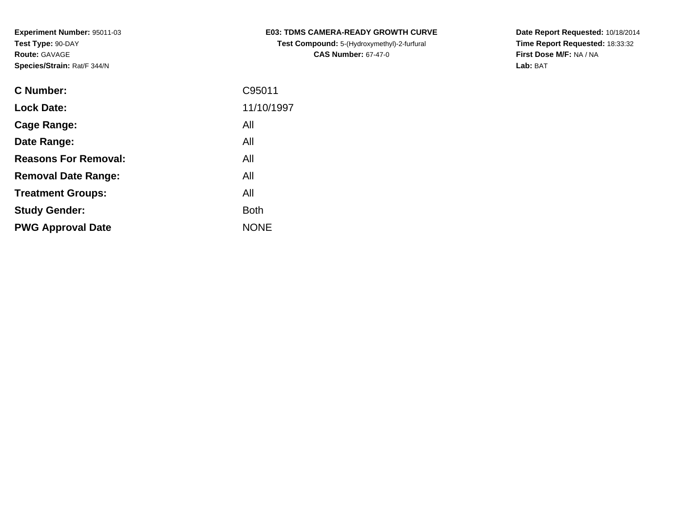| <b>C Number:</b>            | C95011      |
|-----------------------------|-------------|
| <b>Lock Date:</b>           | 11/10/1997  |
| <b>Cage Range:</b>          | All         |
| Date Range:                 | All         |
| <b>Reasons For Removal:</b> | All         |
| <b>Removal Date Range:</b>  | All         |
| <b>Treatment Groups:</b>    | All         |
| <b>Study Gender:</b>        | <b>Both</b> |
| <b>PWG Approval Date</b>    | <b>NONE</b> |
|                             |             |

**E03: TDMS CAMERA-READY GROWTH CURVETest Compound:** 5-(Hydroxymethyl)-2-furfural **CAS Number:** 67-47-0

**Date Report Requested:** 10/18/2014 **Time Report Requested:** 18:33:32**First Dose M/F:** NA / NA**Lab:** BAT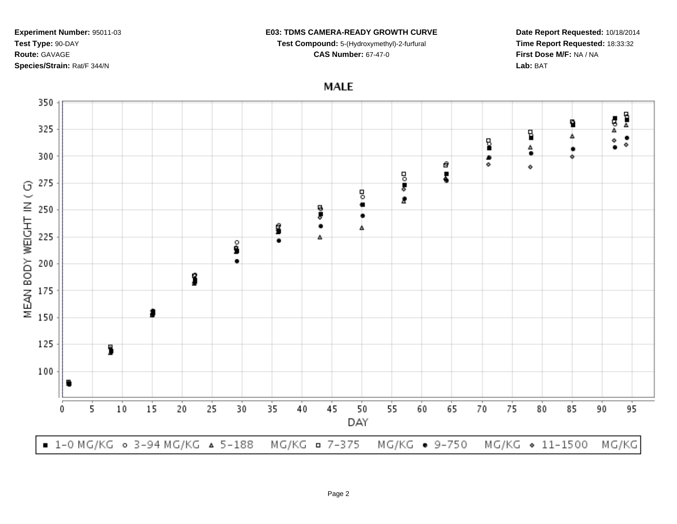### **E03: TDMS CAMERA-READY GROWTH CURVE**

**Test Compound:** 5-(Hydroxymethyl)-2-furfural

**CAS Number:** 67-47-0

**Date Report Requested:** 10/18/2014**Time Report Requested:** 18:33:32**First Dose M/F:** NA / NA**Lab:** BAT

**MALE** 

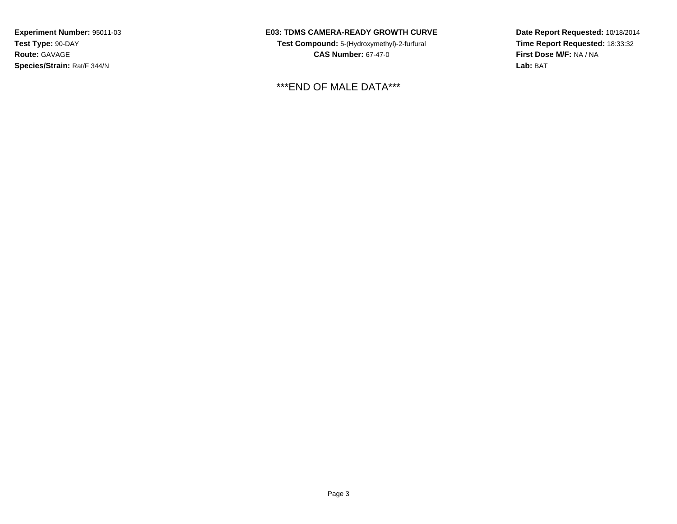## **E03: TDMS CAMERA-READY GROWTH CURVE**

**Test Compound:** 5-(Hydroxymethyl)-2-furfural **CAS Number:** 67-47-0

\*\*\*END OF MALE DATA\*\*\*

**Date Report Requested:** 10/18/2014 **Time Report Requested:** 18:33:32**First Dose M/F:** NA / NA**Lab:** BAT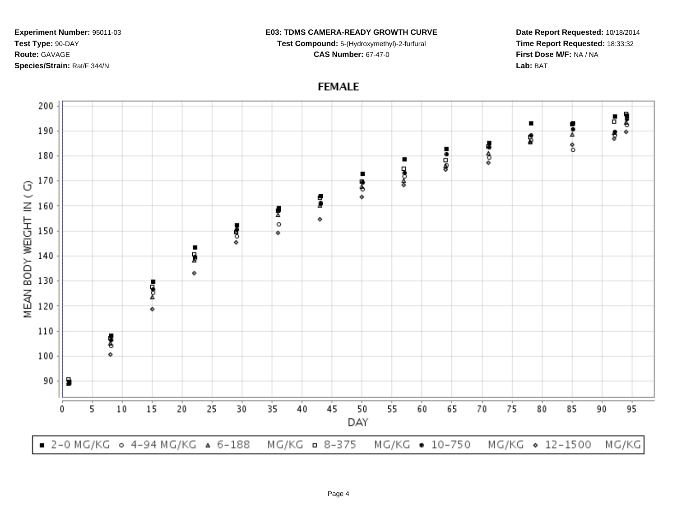#### **E03: TDMS CAMERA-READY GROWTH CURVE**

**Test Compound:** 5-(Hydroxymethyl)-2-furfural **CAS Number:** 67-47-0

**Date Report Requested:** 10/18/2014**Time Report Requested:** 18:33:32**First Dose M/F:** NA / NA**Lab:** BAT

# **FEMALE**